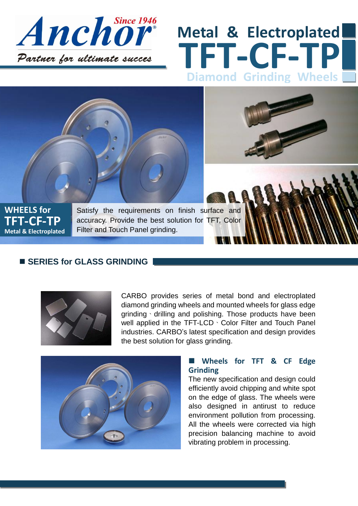

# **TFT-CF-TP Metal & Electroplated Diamond Grinding Wheels**



### **SERIES for GLASS GRINDING**



CARBO provides series of metal bond and electroplated diamond grinding wheels and mounted wheels for glass edge grinding、drilling and polishing. Those products have been well applied in the TFT-LCD · Color Filter and Touch Panel industries. CARBO's latest specification and design provides the best solution for glass grinding.



#### **Wheels for TFT & CF Edge Grinding**

**9FF6Y**

The new specification and design could efficiently avoid chipping and white spot on the edge of glass. The wheels were also designed in antirust to reduce environment pollution from processing. All the wheels were corrected via high precision balancing machine to avoid vibrating problem in processing.